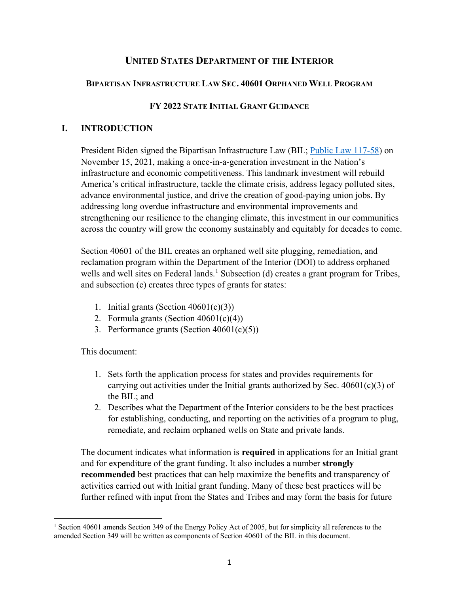## **UNITED STATES DEPARTMENT OF THE INTERIOR**

#### **BIPARTISAN INFRASTRUCTURE LAW SEC. 40601 ORPHANED WELL PROGRAM**

#### **FY 2022 STATE INITIAL GRANT GUIDANCE**

## **I. INTRODUCTION**

President Biden signed the Bipartisan Infrastructure Law (BIL; [Public Law 117-58\)](https://www.congress.gov/117/plaws/publ58/PLAW-117publ58.pdf) on November 15, 2021, making a once-in-a-generation investment in the Nation's infrastructure and economic competitiveness. This landmark investment will rebuild America's critical infrastructure, tackle the climate crisis, address legacy polluted sites, advance environmental justice, and drive the creation of good-paying union jobs. By addressing long overdue infrastructure and environmental improvements and strengthening our resilience to the changing climate, this investment in our communities across the country will grow the economy sustainably and equitably for decades to come.

Section 40601 of the BIL creates an orphaned well site plugging, remediation, and reclamation program within the Department of the Interior (DOI) to address orphaned wells and well sites on Federal lands.<sup>[1](#page-0-0)</sup> Subsection (d) creates a grant program for Tribes, and subsection (c) creates three types of grants for states:

- 1. Initial grants (Section 40601(c)(3))
- 2. Formula grants (Section  $40601(c)(4)$ )
- 3. Performance grants (Section 40601(c)(5))

This document:

- 1. Sets forth the application process for states and provides requirements for carrying out activities under the Initial grants authorized by Sec.  $40601(c)(3)$  of the BIL; and
- 2. Describes what the Department of the Interior considers to be the best practices for establishing, conducting, and reporting on the activities of a program to plug, remediate, and reclaim orphaned wells on State and private lands.

The document indicates what information is **required** in applications for an Initial grant and for expenditure of the grant funding. It also includes a number **strongly recommended** best practices that can help maximize the benefits and transparency of activities carried out with Initial grant funding. Many of these best practices will be further refined with input from the States and Tribes and may form the basis for future

<span id="page-0-0"></span><sup>&</sup>lt;sup>1</sup> Section 40601 amends Section 349 of the Energy Policy Act of 2005, but for simplicity all references to the amended Section 349 will be written as components of Section 40601 of the BIL in this document.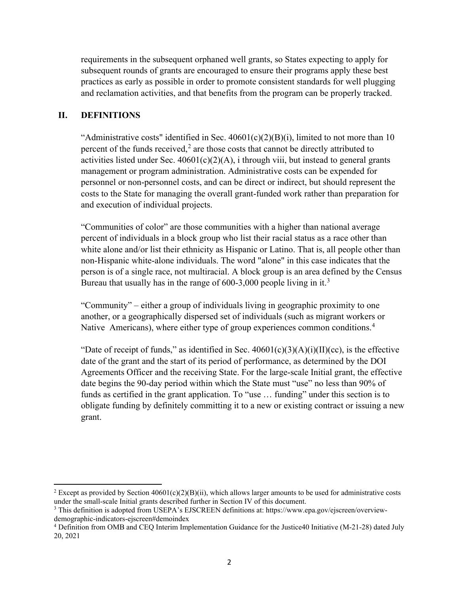requirements in the subsequent orphaned well grants, so States expecting to apply for subsequent rounds of grants are encouraged to ensure their programs apply these best practices as early as possible in order to promote consistent standards for well plugging and reclamation activities, and that benefits from the program can be properly tracked.

## **II. DEFINITIONS**

"Administrative costs" identified in Sec.  $40601(c)(2)(B)(i)$ , limited to not more than 10 percent of the funds received, $<sup>2</sup>$  $<sup>2</sup>$  $<sup>2</sup>$  are those costs that cannot be directly attributed to</sup> activities listed under Sec.  $40601(c)(2)(A)$ , i through viii, but instead to general grants management or program administration. Administrative costs can be expended for personnel or non-personnel costs, and can be direct or indirect, but should represent the costs to the State for managing the overall grant-funded work rather than preparation for and execution of individual projects.

"Communities of color" are those communities with a higher than national average percent of individuals in a block group who list their racial status as a race other than white alone and/or list their ethnicity as Hispanic or Latino. That is, all people other than non-Hispanic white-alone individuals. The word "alone" in this case indicates that the person is of a single race, not multiracial. A block group is an area defined by the Census Bureau that usually has in the range of  $600-3,000$  $600-3,000$  $600-3,000$  people living in it.<sup>3</sup>

"Community" – either a group of individuals living in geographic proximity to one another, or a geographically dispersed set of individuals (such as migrant workers or Native Americans), where either type of group experiences common conditions.<sup>[4](#page-1-2)</sup>

"Date of receipt of funds," as identified in Sec.  $40601(c)(3)(A)(i)(II)(cc)$ , is the effective date of the grant and the start of its period of performance, as determined by the DOI Agreements Officer and the receiving State. For the large-scale Initial grant, the effective date begins the 90-day period within which the State must "use" no less than 90% of funds as certified in the grant application. To "use … funding" under this section is to obligate funding by definitely committing it to a new or existing contract or issuing a new grant.

<span id="page-1-0"></span><sup>&</sup>lt;sup>2</sup> Except as provided by Section 40601(c)(2)(B)(ii), which allows larger amounts to be used for administrative costs under the small-scale Initial grants described further in Section IV of this document.

<span id="page-1-1"></span><sup>3</sup> This definition is adopted from USEPA's EJSCREEN definitions at: https://www.epa.gov/ejscreen/overviewdemographic-indicators-ejscreen#demoindex

<span id="page-1-2"></span><sup>4</sup> Definition from OMB and CEQ Interim Implementation Guidance for the Justice40 Initiative (M-21-28) dated July 20, 2021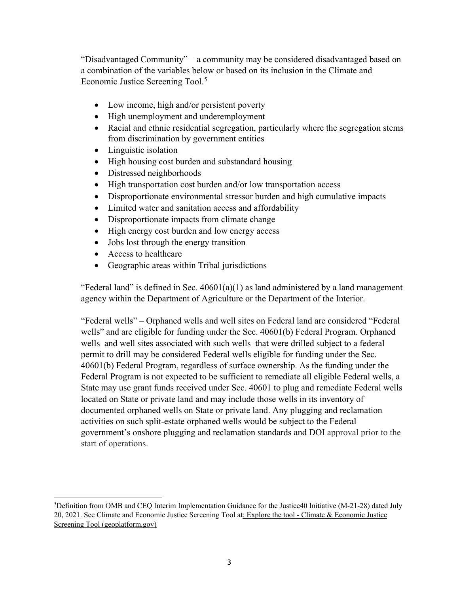"Disadvantaged Community" – a community may be considered disadvantaged based on a combination of the variables below or based on its inclusion in the Climate and Economic Justice Screening Tool.<sup>[5](#page-2-0)</sup>

- Low income, high and/or persistent poverty
- High unemployment and underemployment
- Racial and ethnic residential segregation, particularly where the segregation stems from discrimination by government entities
- Linguistic isolation
- High housing cost burden and substandard housing
- Distressed neighborhoods
- High transportation cost burden and/or low transportation access
- Disproportionate environmental stressor burden and high cumulative impacts
- Limited water and sanitation access and affordability
- Disproportionate impacts from climate change
- High energy cost burden and low energy access
- Jobs lost through the energy transition
- Access to healthcare
- Geographic areas within Tribal jurisdictions

"Federal land" is defined in Sec.  $40601(a)(1)$  as land administered by a land management agency within the Department of Agriculture or the Department of the Interior.

"Federal wells" – Orphaned wells and well sites on Federal land are considered "Federal wells" and are eligible for funding under the Sec. 40601(b) Federal Program. Orphaned wells–and well sites associated with such wells–that were drilled subject to a federal permit to drill may be considered Federal wells eligible for funding under the Sec. 40601(b) Federal Program, regardless of surface ownership. As the funding under the Federal Program is not expected to be sufficient to remediate all eligible Federal wells, a State may use grant funds received under Sec. 40601 to plug and remediate Federal wells located on State or private land and may include those wells in its inventory of documented orphaned wells on State or private land. Any plugging and reclamation activities on such split-estate orphaned wells would be subject to the Federal government's onshore plugging and reclamation standards and DOI approval prior to the start of operations.

<span id="page-2-0"></span><sup>5</sup> Definition from OMB and CEQ Interim Implementation Guidance for the Justice40 Initiative (M-21-28) dated July 20, 2021. See Climate and Economic Justice Screening Tool a[t: Explore the tool - Climate & Economic Justice](https://screeningtool.geoplatform.gov/en/#3/33.47/-97.5)  [Screening Tool \(geoplatform.gov\)](https://screeningtool.geoplatform.gov/en/#3/33.47/-97.5)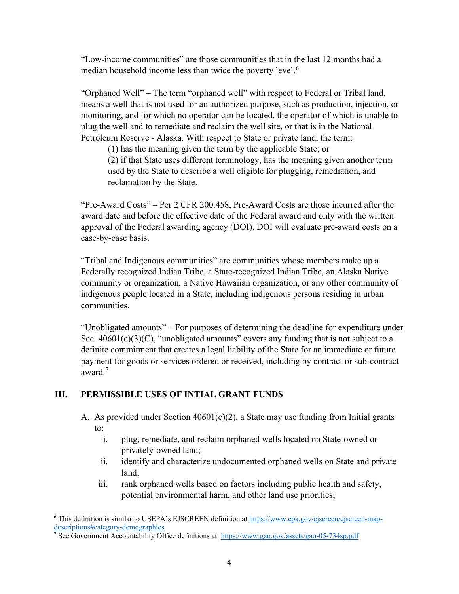"Low-income communities" are those communities that in the last 12 months had a median household income less than twice the poverty level.<sup>[6](#page-3-0)</sup>

"Orphaned Well" – The term "orphaned well" with respect to Federal or Tribal land, means a well that is not used for an authorized purpose, such as production, injection, or monitoring, and for which no operator can be located, the operator of which is unable to plug the well and to remediate and reclaim the well site, or that is in the National Petroleum Reserve - Alaska. With respect to State or private land, the term:

(1) has the meaning given the term by the applicable State; or

(2) if that State uses different terminology, has the meaning given another term used by the State to describe a well eligible for plugging, remediation, and reclamation by the State.

"Pre-Award Costs" – Per 2 CFR 200.458, Pre-Award Costs are those incurred after the award date and before the effective date of the Federal award and only with the written approval of the Federal awarding agency (DOI). DOI will evaluate pre-award costs on a case-by-case basis.

"Tribal and Indigenous communities" are communities whose members make up a Federally recognized Indian Tribe, a State-recognized Indian Tribe, an Alaska Native community or organization, a Native Hawaiian organization, or any other community of indigenous people located in a State, including indigenous persons residing in urban communities.

"Unobligated amounts" – For purposes of determining the deadline for expenditure under Sec.  $40601(c)(3)(C)$ , "unobligated amounts" covers any funding that is not subject to a definite commitment that creates a legal liability of the State for an immediate or future payment for goods or services ordered or received, including by contract or sub-contract award.[7](#page-3-1)

## **III. PERMISSIBLE USES OF INTIAL GRANT FUNDS**

- A. As provided under Section 40601(c)(2), a State may use funding from Initial grants to:
	- i. plug, remediate, and reclaim orphaned wells located on State-owned or privately-owned land;
	- ii. identify and characterize undocumented orphaned wells on State and private land;
	- iii. rank orphaned wells based on factors including public health and safety, potential environmental harm, and other land use priorities;

<span id="page-3-0"></span><sup>6</sup> This definition is similar to USEPA's EJSCREEN definition a[t https://www.epa.gov/ejscreen/ejscreen-map](https://www.epa.gov/ejscreen/ejscreen-map-descriptions#category-demographics)[descriptions#category-demographics](https://www.epa.gov/ejscreen/ejscreen-map-descriptions#category-demographics)

<span id="page-3-1"></span><sup>&</sup>lt;sup>7</sup> See Government Accountability Office definitions at:<https://www.gao.gov/assets/gao-05-734sp.pdf>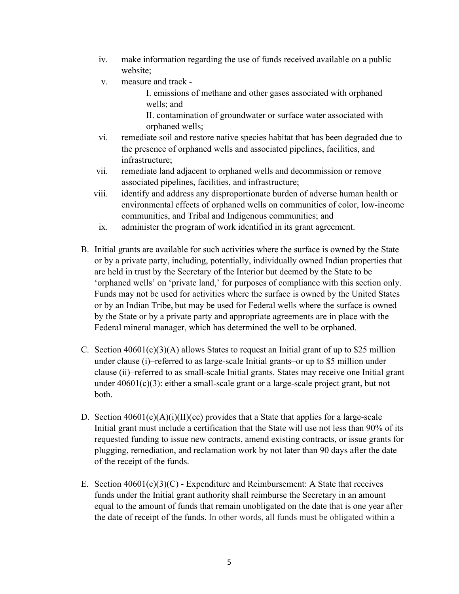- iv. make information regarding the use of funds received available on a public website;
- v. measure and track -

I. emissions of methane and other gases associated with orphaned wells; and

II. contamination of groundwater or surface water associated with orphaned wells;

- vi. remediate soil and restore native species habitat that has been degraded due to the presence of orphaned wells and associated pipelines, facilities, and infrastructure;
- vii. remediate land adjacent to orphaned wells and decommission or remove associated pipelines, facilities, and infrastructure;
- viii. identify and address any disproportionate burden of adverse human health or environmental effects of orphaned wells on communities of color, low-income communities, and Tribal and Indigenous communities; and
- ix. administer the program of work identified in its grant agreement.
- B. Initial grants are available for such activities where the surface is owned by the State or by a private party, including, potentially, individually owned Indian properties that are held in trust by the Secretary of the Interior but deemed by the State to be 'orphaned wells' on 'private land,' for purposes of compliance with this section only. Funds may not be used for activities where the surface is owned by the United States or by an Indian Tribe, but may be used for Federal wells where the surface is owned by the State or by a private party and appropriate agreements are in place with the Federal mineral manager, which has determined the well to be orphaned.
- C. Section  $40601(c)(3)(A)$  allows States to request an Initial grant of up to \$25 million under clause (i)–referred to as large-scale Initial grants–or up to \$5 million under clause (ii)–referred to as small-scale Initial grants. States may receive one Initial grant under 40601(c)(3): either a small-scale grant or a large-scale project grant, but not both.
- D. Section  $40601(c)(A)(i)(II)(cc)$  provides that a State that applies for a large-scale Initial grant must include a certification that the State will use not less than 90% of its requested funding to issue new contracts, amend existing contracts, or issue grants for plugging, remediation, and reclamation work by not later than 90 days after the date of the receipt of the funds.
- E. Section  $40601(c)(3)(C)$  Expenditure and Reimbursement: A State that receives funds under the Initial grant authority shall reimburse the Secretary in an amount equal to the amount of funds that remain unobligated on the date that is one year after the date of receipt of the funds. In other words, all funds must be obligated within a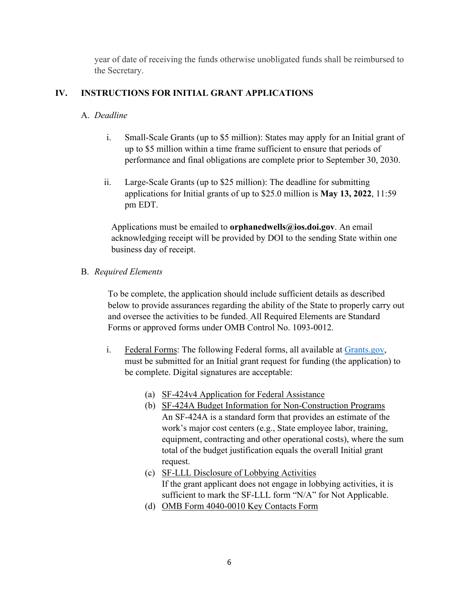year of date of receiving the funds otherwise unobligated funds shall be reimbursed to the Secretary.

## **IV. INSTRUCTIONS FOR INITIAL GRANT APPLICATIONS**

## A. *Deadline*

- i. Small-Scale Grants (up to \$5 million): States may apply for an Initial grant of up to \$5 million within a time frame sufficient to ensure that periods of performance and final obligations are complete prior to September 30, 2030.
- ii. Large-Scale Grants (up to \$25 million): The deadline for submitting applications for Initial grants of up to \$25.0 million is **May 13, 2022**, 11:59 pm EDT.

Applications must be emailed to **orphanedwells@ios.doi.gov**. An email acknowledging receipt will be provided by DOI to the sending State within one business day of receipt.

## B. *Required Elements*

To be complete, the application should include sufficient details as described below to provide assurances regarding the ability of the State to properly carry out and oversee the activities to be funded. All Required Elements are Standard Forms or approved forms under OMB Control No. 1093-0012.

- i. Federal Forms: The following Federal forms, all available at [Grants.gov,](https://www.grants.gov/web/grants/forms/sf-424-family.html) must be submitted for an Initial grant request for funding (the application) to be complete. Digital signatures are acceptable:
	- (a) SF-424v4 Application for Federal Assistance
	- (b) [SF-424A Budget Information for N](https://www.grants.gov/forms/sf-424-family.html)on-Construction Programs An SF-424A is a standard form that provides an estimate of the work's major cost centers (e.g., State employee labor, training, equipment, contracting and other operational costs), where the sum total of the budget justification equals the overall Initial grant request.
	- (c) SF-LLL Disclosure of Lobbying Activities If the grant applicant does not engage in lobbying activities, it is sufficient to mark the SF-LLL form "N/A" for Not Applicable.
	- (d) [OMB Form 4040-0010 Key Contacts Form](https://apply07.grants.gov/apply/forms/readonly/Key_Contacts-V1.0.pdf)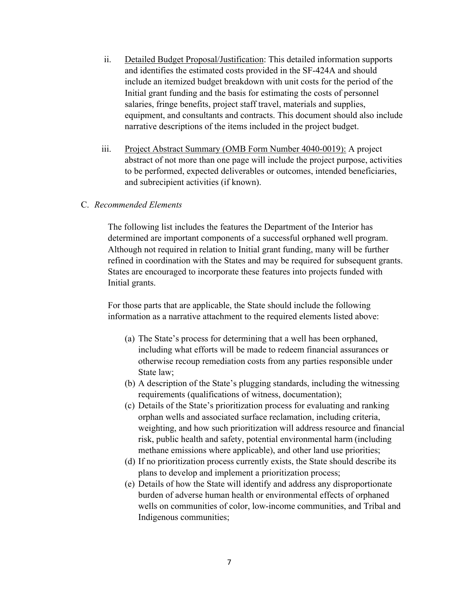- ii. Detailed Budget Proposal/Justification: This detailed information supports and identifies the estimated costs provided in the SF-424A and should include an itemized budget breakdown with unit costs for the period of the Initial grant funding and the basis for estimating the costs of personnel salaries, fringe benefits, project staff travel, materials and supplies, equipment, and consultants and contracts. This document should also include narrative descriptions of the items included in the project budget.
- iii. Project Abstract Summary (OMB Form Number 4040-0019): A project abstract of not more than one page will include the project purpose, activities to be performed, expected deliverables or outcomes, intended beneficiaries, and subrecipient activities (if known).

#### C. *Recommended Elements*

The following list includes the features the Department of the Interior has determined are important components of a successful orphaned well program. Although not required in relation to Initial grant funding, many will be further refined in coordination with the States and may be required for subsequent grants. States are encouraged to incorporate these features into projects funded with Initial grants.

For those parts that are applicable, the State should include the following information as a narrative attachment to the required elements listed above:

- (a) The State's process for determining that a well has been orphaned, including what efforts will be made to redeem financial assurances or otherwise recoup remediation costs from any parties responsible under State law;
- (b) A description of the State's plugging standards, including the witnessing requirements (qualifications of witness, documentation);
- (c) Details of the State's prioritization process for evaluating and ranking orphan wells and associated surface reclamation, including criteria, weighting, and how such prioritization will address resource and financial risk, public health and safety, potential environmental harm (including methane emissions where applicable), and other land use priorities;
- (d) If no prioritization process currently exists, the State should describe its plans to develop and implement a prioritization process;
- (e) Details of how the State will identify and address any disproportionate burden of adverse human health or environmental effects of orphaned wells on communities of color, low-income communities, and Tribal and Indigenous communities;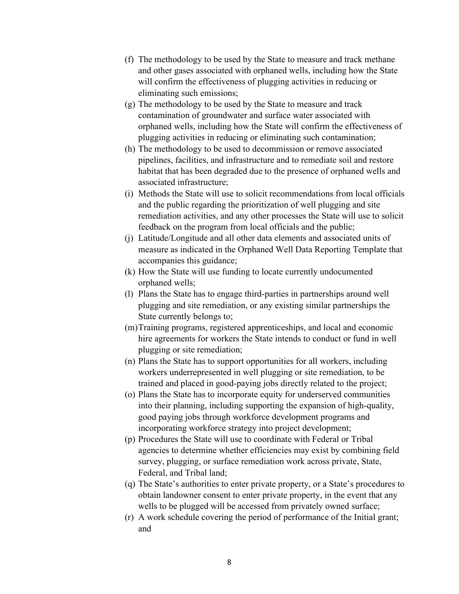- (f) The methodology to be used by the State to measure and track methane and other gases associated with orphaned wells, including how the State will confirm the effectiveness of plugging activities in reducing or eliminating such emissions;
- (g) The methodology to be used by the State to measure and track contamination of groundwater and surface water associated with orphaned wells, including how the State will confirm the effectiveness of plugging activities in reducing or eliminating such contamination;
- (h) The methodology to be used to decommission or remove associated pipelines, facilities, and infrastructure and to remediate soil and restore habitat that has been degraded due to the presence of orphaned wells and associated infrastructure;
- (i) Methods the State will use to solicit recommendations from local officials and the public regarding the prioritization of well plugging and site remediation activities, and any other processes the State will use to solicit feedback on the program from local officials and the public;
- (j) Latitude/Longitude and all other data elements and associated units of measure as indicated in the Orphaned Well Data Reporting Template that accompanies this guidance;
- (k) How the State will use funding to locate currently undocumented orphaned wells;
- (l) Plans the State has to engage third-parties in partnerships around well plugging and site remediation, or any existing similar partnerships the State currently belongs to;
- (m)Training programs, registered apprenticeships, and local and economic hire agreements for workers the State intends to conduct or fund in well plugging or site remediation;
- (n) Plans the State has to support opportunities for all workers, including workers underrepresented in well plugging or site remediation, to be trained and placed in good-paying jobs directly related to the project;
- (o) Plans the State has to incorporate equity for underserved communities into their planning, including supporting the expansion of high-quality, good paying jobs through workforce development programs and incorporating workforce strategy into project development;
- (p) Procedures the State will use to coordinate with Federal or Tribal agencies to determine whether efficiencies may exist by combining field survey, plugging, or surface remediation work across private, State, Federal, and Tribal land;
- (q) The State's authorities to enter private property, or a State's procedures to obtain landowner consent to enter private property, in the event that any wells to be plugged will be accessed from privately owned surface;
- (r) A work schedule covering the period of performance of the Initial grant; and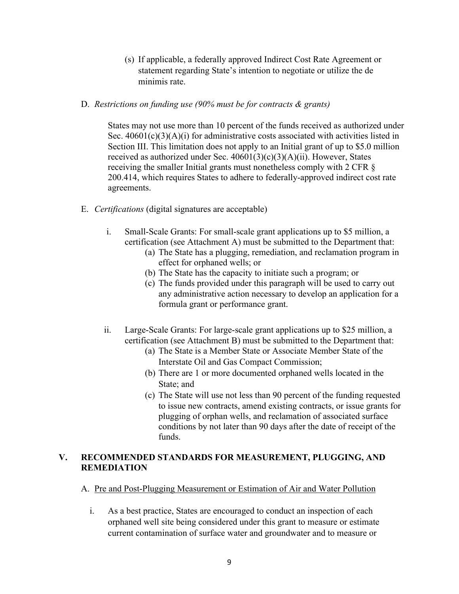- (s) If applicable, a federally approved Indirect Cost Rate Agreement or statement regarding State's intention to negotiate or utilize the de minimis rate.
- D. *Restrictions on funding use (90% must be for contracts & grants)*

States may not use more than 10 percent of the funds received as authorized under Sec.  $40601(c)(3)(A)(i)$  for administrative costs associated with activities listed in Section III. This limitation does not apply to an Initial grant of up to \$5.0 million received as authorized under Sec. 40601(3)(c)(3)(A)(ii). However, States receiving the smaller Initial grants must nonetheless comply with 2 CFR § 200.414, which requires States to adhere to federally-approved indirect cost rate agreements.

- E. *Certifications* (digital signatures are acceptable)
	- i. Small-Scale Grants: For small-scale grant applications up to \$5 million, a certification (see Attachment A) must be submitted to the Department that:
		- (a) The State has a plugging, remediation, and reclamation program in effect for orphaned wells; or
		- (b) The State has the capacity to initiate such a program; or
		- (c) The funds provided under this paragraph will be used to carry out any administrative action necessary to develop an application for a formula grant or performance grant.
	- ii. Large-Scale Grants: For large-scale grant applications up to \$25 million, a certification (see Attachment B) must be submitted to the Department that:
		- (a) The State is a Member State or Associate Member State of the Interstate Oil and Gas Compact Commission;
		- (b) There are 1 or more documented orphaned wells located in the State; and
		- (c) The State will use not less than 90 percent of the funding requested to issue new contracts, amend existing contracts, or issue grants for plugging of orphan wells, and reclamation of associated surface conditions by not later than 90 days after the date of receipt of the funds.

## **V. RECOMMENDED STANDARDS FOR MEASUREMENT, PLUGGING, AND REMEDIATION**

- A. Pre and Post-Plugging Measurement or Estimation of Air and Water Pollution
	- i. As a best practice, States are encouraged to conduct an inspection of each orphaned well site being considered under this grant to measure or estimate current contamination of surface water and groundwater and to measure or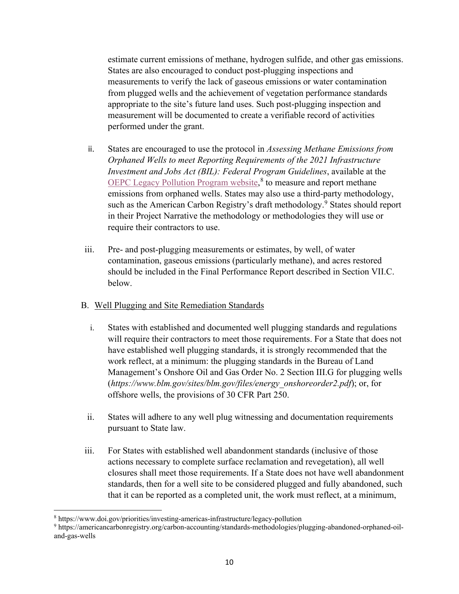estimate current emissions of methane, hydrogen sulfide, and other gas emissions. States are also encouraged to conduct post-plugging inspections and measurements to verify the lack of gaseous emissions or water contamination from plugged wells and the achievement of vegetation performance standards appropriate to the site's future land uses. Such post-plugging inspection and measurement will be documented to create a verifiable record of activities performed under the grant.

- ii. States are encouraged to use the protocol in *Assessing Methane Emissions from Orphaned Wells to meet Reporting Requirements of the 2021 Infrastructure Investment and Jobs Act (BIL): Federal Program Guidelines*, available at the [OEPC Legacy Pollution Program website,](https://www.doi.gov/oepc/legacy-pollution-remediation-and-reclamation)<sup>[8](#page-9-0)</sup> to measure and report methane emissions from orphaned wells. States may also use a third-party methodology, such as the American Carbon Registry's draft methodology.<sup>[9](#page-9-1)</sup> States should report in their Project Narrative the methodology or methodologies they will use or require their contractors to use.
- iii. Pre- and post-plugging measurements or estimates, by well, of water contamination, gaseous emissions (particularly methane), and acres restored should be included in the Final Performance Report described in Section VII.C. below.

#### B. Well Plugging and Site Remediation Standards

- i. States with established and documented well plugging standards and regulations will require their contractors to meet those requirements. For a State that does not have established well plugging standards, it is strongly recommended that the work reflect, at a minimum: the plugging standards in the Bureau of Land Management's Onshore Oil and Gas Order No. 2 Section III.G for plugging wells (*https://www.blm.gov/sites/blm.gov/files/energy\_onshoreorder2.pdf*); or, for offshore wells, the provisions of 30 CFR Part 250.
- ii. States will adhere to any well plug witnessing and documentation requirements pursuant to State law.
- iii. For States with established well abandonment standards (inclusive of those actions necessary to complete surface reclamation and revegetation), all well closures shall meet those requirements. If a State does not have well abandonment standards, then for a well site to be considered plugged and fully abandoned, such that it can be reported as a completed unit, the work must reflect, at a minimum,

<span id="page-9-0"></span><sup>8</sup> https://www.doi.gov/priorities/investing-americas-infrastructure/legacy-pollution

<span id="page-9-1"></span><sup>9</sup> https://americancarbonregistry.org/carbon-accounting/standards-methodologies/plugging-abandoned-orphaned-oiland-gas-wells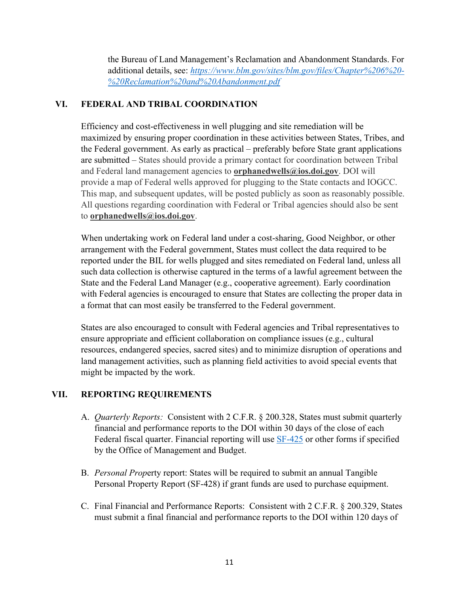the Bureau of Land Management's Reclamation and Abandonment Standards. For additional details, see: *[https://www.blm.gov/sites/blm.gov/files/Chapter%206%20-](https://www.blm.gov/sites/blm.gov/files/Chapter%206%20-%20Reclamation%20and%20Abandonment.pdf) [%20Reclamation%20and%20Abandonment.pdf](https://www.blm.gov/sites/blm.gov/files/Chapter%206%20-%20Reclamation%20and%20Abandonment.pdf)*

#### **VI. FEDERAL AND TRIBAL COORDINATION**

Efficiency and cost-effectiveness in well plugging and site remediation will be maximized by ensuring proper coordination in these activities between States, Tribes, and the Federal government. As early as practical – preferably before State grant applications are submitted – States should provide a primary contact for coordination between Tribal and Federal land management agencies to **orphanedwells@ios.doi.gov**. DOI will provide a map of Federal wells approved for plugging to the State contacts and IOGCC. This map, and subsequent updates, will be posted publicly as soon as reasonably possible. All questions regarding coordination with Federal or Tribal agencies should also be sent to **orphanedwells@ios.doi.gov**.

When undertaking work on Federal land under a cost-sharing, Good Neighbor, or other arrangement with the Federal government, States must collect the data required to be reported under the BIL for wells plugged and sites remediated on Federal land, unless all such data collection is otherwise captured in the terms of a lawful agreement between the State and the Federal Land Manager (e.g., cooperative agreement). Early coordination with Federal agencies is encouraged to ensure that States are collecting the proper data in a format that can most easily be transferred to the Federal government.

States are also encouraged to consult with Federal agencies and Tribal representatives to ensure appropriate and efficient collaboration on compliance issues (e.g., cultural resources, endangered species, sacred sites) and to minimize disruption of operations and land management activities, such as planning field activities to avoid special events that might be impacted by the work.

## **VII. REPORTING REQUIREMENTS**

- A. *Quarterly Reports:* Consistent with 2 C.F.R. § 200.328, States must submit quarterly financial and performance reports to the DOI within 30 days of the close of each Federal fiscal quarter. Financial reporting will use **SF-425** or other forms if specified by the Office of Management and Budget.
- B. *Personal Prop*erty report: States will be required to submit an annual Tangible Personal Property Report (SF-428) if grant funds are used to purchase equipment.
- C. Final Financial and Performance Reports: Consistent with 2 C.F.R. § 200.329, States must submit a final financial and performance reports to the DOI within 120 days of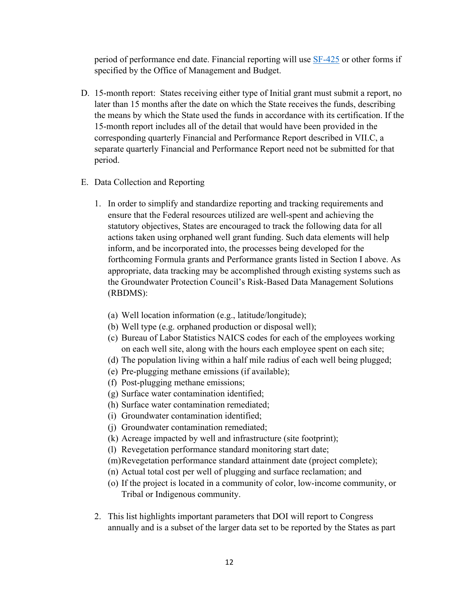period of performance end date. Financial reporting will use [SF-425](https://www.grants.gov/web/grants/forms/post-award-reporting-forms.html) or other forms if specified by the Office of Management and Budget.

- D. 15-month report: States receiving either type of Initial grant must submit a report, no later than 15 months after the date on which the State receives the funds, describing the means by which the State used the funds in accordance with its certification. If the 15-month report includes all of the detail that would have been provided in the corresponding quarterly Financial and Performance Report described in VII.C, a separate quarterly Financial and Performance Report need not be submitted for that period.
- E. Data Collection and Reporting
	- 1. In order to simplify and standardize reporting and tracking requirements and ensure that the Federal resources utilized are well-spent and achieving the statutory objectives, States are encouraged to track the following data for all actions taken using orphaned well grant funding. Such data elements will help inform, and be incorporated into, the processes being developed for the forthcoming Formula grants and Performance grants listed in Section I above. As appropriate, data tracking may be accomplished through existing systems such as the Groundwater Protection Council's Risk-Based Data Management Solutions (RBDMS):
		- (a) Well location information (e.g., latitude/longitude);
		- (b) Well type (e.g. orphaned production or disposal well);
		- (c) Bureau of Labor Statistics NAICS codes for each of the employees working on each well site, along with the hours each employee spent on each site;
		- (d) The population living within a half mile radius of each well being plugged;
		- (e) Pre-plugging methane emissions (if available);
		- (f) Post-plugging methane emissions;
		- (g) Surface water contamination identified;
		- (h) Surface water contamination remediated;
		- (i) Groundwater contamination identified;
		- (j) Groundwater contamination remediated;
		- (k) Acreage impacted by well and infrastructure (site footprint);
		- (l) Revegetation performance standard monitoring start date;
		- (m)Revegetation performance standard attainment date (project complete);
		- (n) Actual total cost per well of plugging and surface reclamation; and
		- (o) If the project is located in a community of color, low-income community, or Tribal or Indigenous community.
	- 2. This list highlights important parameters that DOI will report to Congress annually and is a subset of the larger data set to be reported by the States as part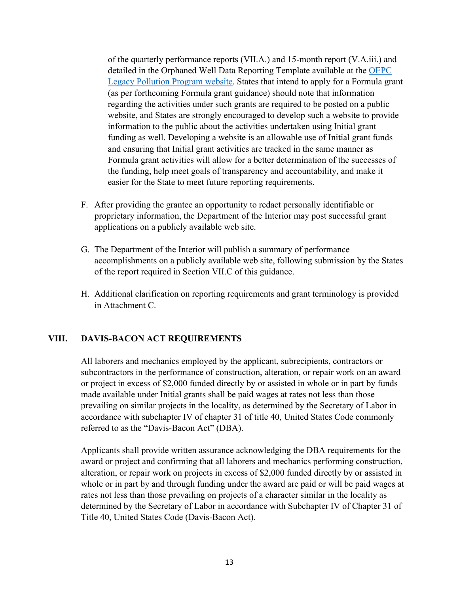of the quarterly performance reports (VII.A.) and 15-month report (V.A.iii.) and detailed in the Orphaned Well Data Reporting Template available at the [OEPC](https://www.doi.gov/oepc/legacy-pollution-remediation-and-reclamation)  [Legacy Pollution Program website.](https://www.doi.gov/oepc/legacy-pollution-remediation-and-reclamation) States that intend to apply for a Formula grant (as per forthcoming Formula grant guidance) should note that information regarding the activities under such grants are required to be posted on a public website, and States are strongly encouraged to develop such a website to provide information to the public about the activities undertaken using Initial grant funding as well. Developing a website is an allowable use of Initial grant funds and ensuring that Initial grant activities are tracked in the same manner as Formula grant activities will allow for a better determination of the successes of the funding, help meet goals of transparency and accountability, and make it easier for the State to meet future reporting requirements.

- F. After providing the grantee an opportunity to redact personally identifiable or proprietary information, the Department of the Interior may post successful grant applications on a publicly available web site.
- G. The Department of the Interior will publish a summary of performance accomplishments on a publicly available web site, following submission by the States of the report required in Section VII.C of this guidance.
- H. Additional clarification on reporting requirements and grant terminology is provided in Attachment C.

## **VIII. DAVIS-BACON ACT REQUIREMENTS**

All laborers and mechanics employed by the applicant, subrecipients, contractors or subcontractors in the performance of construction, alteration, or repair work on an award or project in excess of \$2,000 funded directly by or assisted in whole or in part by funds made available under Initial grants shall be paid wages at rates not less than those prevailing on similar projects in the locality, as determined by the Secretary of Labor in accordance with subchapter IV of chapter 31 of title 40, United States Code commonly referred to as the "Davis-Bacon Act" (DBA).

Applicants shall provide written assurance acknowledging the DBA requirements for the award or project and confirming that all laborers and mechanics performing construction, alteration, or repair work on projects in excess of \$2,000 funded directly by or assisted in whole or in part by and through funding under the award are paid or will be paid wages at rates not less than those prevailing on projects of a character similar in the locality as determined by the Secretary of Labor in accordance with Subchapter IV of Chapter 31 of Title 40, United States Code (Davis-Bacon Act).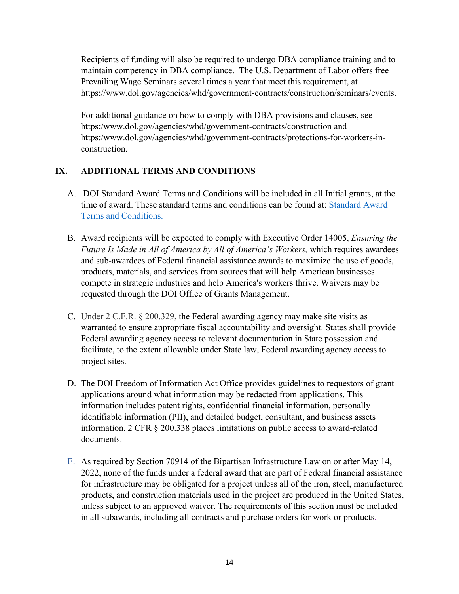Recipients of funding will also be required to undergo DBA compliance training and to maintain competency in DBA compliance. The U.S. Department of Labor offers free Prevailing Wage Seminars several times a year that meet this requirement, at https://www.dol.gov/agencies/whd/government-contracts/construction/seminars/events.

For additional guidance on how to comply with DBA provisions and clauses, see https:/www.dol.gov/agencies/whd/government-contracts/construction and https:/www.dol.gov/agencies/whd/government-contracts/protections-for-workers-inconstruction.

## **IX. ADDITIONAL TERMS AND CONDITIONS**

- A. DOI Standard Award Terms and Conditions will be included in all Initial grants, at the time of award. These standard terms and conditions can be found at: [Standard Award](https://www.doi.gov/sites/doi.gov/files/uploads/doi-standard-award-terms-and-conditions-effective-december-2-2019-revised-june-19-2020.pdf)  [Terms and Conditions.](https://www.doi.gov/sites/doi.gov/files/uploads/doi-standard-award-terms-and-conditions-effective-december-2-2019-revised-june-19-2020.pdf)
- B. Award recipients will be expected to comply with Executive Order 14005, *Ensuring the Future Is Made in All of America by All of America's Workers,* which requires awardees and sub-awardees of Federal financial assistance awards to maximize the use of goods, products, materials, and services from sources that will help American businesses compete in strategic industries and help America's workers thrive. Waivers may be requested through the DOI Office of Grants Management.
- C. Under 2 C.F.R. § 200.329, the Federal awarding agency may make site visits as warranted to ensure appropriate fiscal accountability and oversight. States shall provide Federal awarding agency access to relevant documentation in State possession and facilitate, to the extent allowable under State law, Federal awarding agency access to project sites.
- D. The DOI Freedom of Information Act Office provides guidelines to requestors of grant applications around what information may be redacted from applications. This information includes patent rights, confidential financial information, personally identifiable information (PII), and detailed budget, consultant, and business assets information. 2 CFR § 200.338 places limitations on public access to award-related documents.
- E. As required by Section 70914 of the Bipartisan Infrastructure Law on or after May 14, 2022, none of the funds under a federal award that are part of Federal financial assistance for infrastructure may be obligated for a project unless all of the iron, steel, manufactured products, and construction materials used in the project are produced in the United States, unless subject to an approved waiver. The requirements of this section must be included in all subawards, including all contracts and purchase orders for work or products.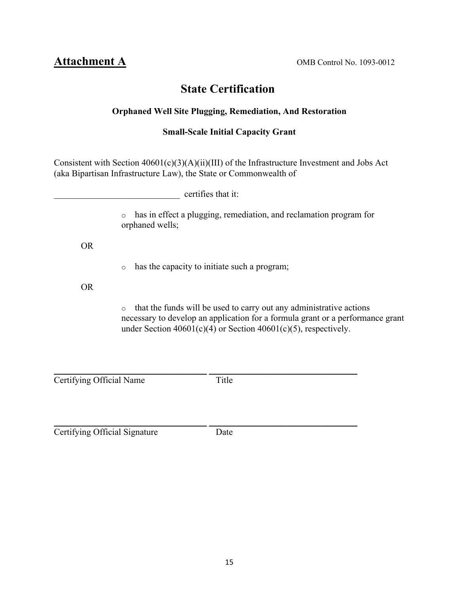Attachment A OMB Control No. 1093-0012

## **State Certification**

## **Orphaned Well Site Plugging, Remediation, And Restoration**

## **Small-Scale Initial Capacity Grant**

Consistent with Section 40601(c)(3)(A)(ii)(III) of the Infrastructure Investment and Jobs Act (aka Bipartisan Infrastructure Law), the State or Commonwealth of

| certifies that it: |                                                                                                                                                                                                                                          |
|--------------------|------------------------------------------------------------------------------------------------------------------------------------------------------------------------------------------------------------------------------------------|
|                    | has in effect a plugging, remediation, and reclamation program for<br>$\circ$<br>orphaned wells;                                                                                                                                         |
| <b>OR</b>          |                                                                                                                                                                                                                                          |
|                    | has the capacity to initiate such a program;<br>$\circ$                                                                                                                                                                                  |
| OR.                |                                                                                                                                                                                                                                          |
|                    | that the funds will be used to carry out any administrative actions<br>$\circ$<br>necessary to develop an application for a formula grant or a performance grant<br>under Section $40601(c)(4)$ or Section $40601(c)(5)$ , respectively. |
|                    |                                                                                                                                                                                                                                          |

\_\_\_\_\_\_\_\_\_\_\_\_\_\_\_\_\_\_\_\_\_\_\_\_\_\_\_\_\_\_\_\_\_\_ \_\_\_\_\_\_\_\_\_\_\_\_\_\_\_\_\_\_\_\_\_\_\_\_\_\_\_\_\_\_\_\_\_ Title Tertifying Official Name

\_\_\_\_\_\_\_\_\_\_\_\_\_\_\_\_\_\_\_\_\_\_\_\_\_\_\_\_\_\_\_\_\_\_ \_\_\_\_\_\_\_\_\_\_\_\_\_\_\_\_\_\_\_\_\_\_\_\_\_\_\_\_\_\_\_\_\_ **Certifying Official Signature** Date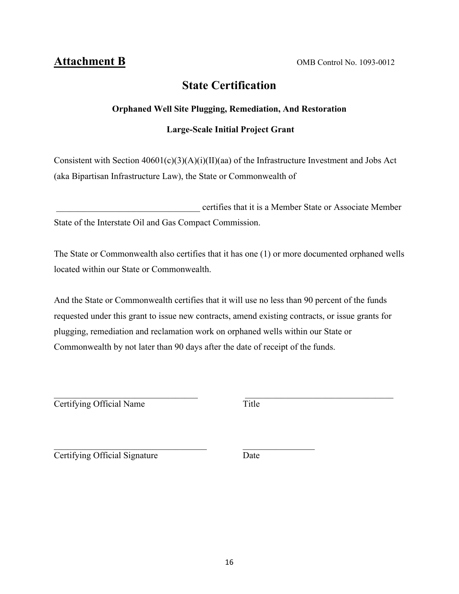## **State Certification**

## **Orphaned Well Site Plugging, Remediation, And Restoration**

## **Large-Scale Initial Project Grant**

Consistent with Section 40601(c)(3)(A)(i)(II)(aa) of the Infrastructure Investment and Jobs Act (aka Bipartisan Infrastructure Law), the State or Commonwealth of

 \_\_\_\_\_\_\_\_\_\_\_\_\_\_\_\_\_\_\_\_\_\_\_\_\_\_\_\_\_\_\_\_ certifies that it is a Member State or Associate Member State of the Interstate Oil and Gas Compact Commission.

The State or Commonwealth also certifies that it has one (1) or more documented orphaned wells located within our State or Commonwealth.

And the State or Commonwealth certifies that it will use no less than 90 percent of the funds requested under this grant to issue new contracts, amend existing contracts, or issue grants for plugging, remediation and reclamation work on orphaned wells within our State or Commonwealth by not later than 90 days after the date of receipt of the funds.

Certifying Official Name Title

**Certifying Official Signature** Date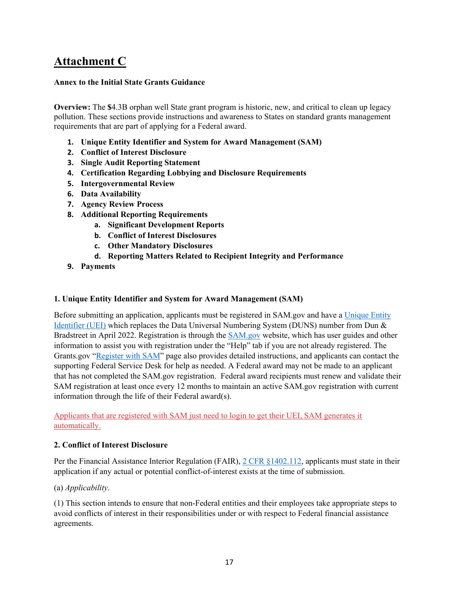# **Attachment C**

#### **Annex to the Initial State Grants Guidance**

**Overview:** The **\$**4.3B orphan well State grant program is historic, new, and critical to clean up legacy pollution. These sections provide instructions and awareness to States on standard grants management requirements that are part of applying for a Federal award.

- **1. Unique Entity Identifier and System for Award Management (SAM)**
- **2. Conflict of Interest Disclosure**
- **3. Single Audit Reporting Statement**
- **4. Certification Regarding Lobbying and Disclosure Requirements**
- **5. Intergovernmental Review**
- **6. Data Availability**
- **7. Agency Review Process**
- **8. Additional Reporting Requirements**
	- **a. Significant Development Reports**
	- **b. Conflict of Interest Disclosures**
	- **c. Other Mandatory Disclosures**
	- **d. Reporting Matters Related to Recipient Integrity and Performance**
- **9. Payments**

#### **1. Unique Entity Identifier and System for Award Management (SAM)**

Before submitting an application, applicants must be registered in SAM.gov and have a [Unique Entity](https://www.gsa.gov/about-us/organization/federal-acquisition-service/office-of-systems-management/integrated-award-environment-iae/iae-systems-information-kit/unique-entity-identifier-update)  [Identifier \(UEI\)](https://www.gsa.gov/about-us/organization/federal-acquisition-service/office-of-systems-management/integrated-award-environment-iae/iae-systems-information-kit/unique-entity-identifier-update) which replaces the Data Universal Numbering System (DUNS) number from Dun & Bradstreet in April 2022. Registration is through the [SAM.gov](http://www.sam.gov/) website, which has user guides and other information to assist you with registration under the "Help" tab if you are not already registered. The Grants.gov ["Register with SAM"](https://www.grants.gov/web/grants/applicants/organization-registration/step-2-register-with-sam.html) page also provides detailed instructions, and applicants can contact the supporting Federal Service Desk for help as needed. A Federal award may not be made to an applicant that has not completed the SAM.gov registration. Federal award recipients must renew and validate their SAM registration at least once every 12 months to maintain an active SAM.gov registration with current information through the life of their Federal award(s).

Applicants that are registered with SAM just need to login to get their UEI, SAM generates it automatically.

#### **2. Conflict of Interest Disclosure**

Per the Financial Assistance Interior Regulation (FAIR), [2 CFR §1402.112,](https://www.ecfr.gov/current/title-2/subtitle-B/chapter-XIV/part-1402/subpart-B/section-1402.112) applicants must state in their application if any actual or potential conflict-of-interest exists at the time of submission.

#### (a) *Applicability*.

(1) This section intends to ensure that non-Federal entities and their employees take appropriate steps to avoid conflicts of interest in their responsibilities under or with respect to Federal financial assistance agreements.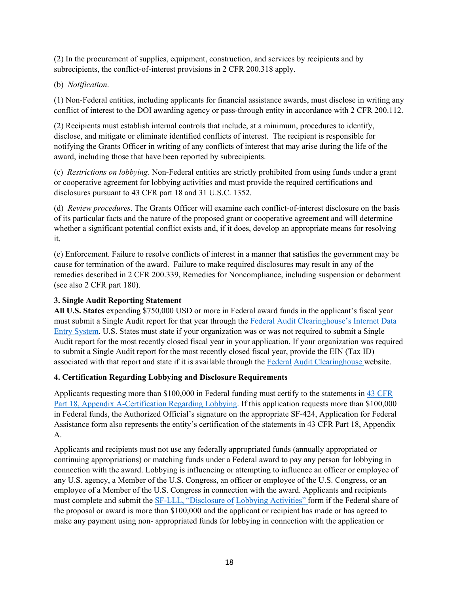(2) In the procurement of supplies, equipment, construction, and services by recipients and by subrecipients, the conflict-of-interest provisions in 2 CFR 200.318 apply.

#### (b) *Notification*.

(1) Non-Federal entities, including applicants for financial assistance awards, must disclose in writing any conflict of interest to the DOI awarding agency or pass-through entity in accordance with 2 CFR 200.112.

(2) Recipients must establish internal controls that include, at a minimum, procedures to identify, disclose, and mitigate or eliminate identified conflicts of interest. The recipient is responsible for notifying the Grants Officer in writing of any conflicts of interest that may arise during the life of the award, including those that have been reported by subrecipients.

(c) *Restrictions on lobbying*. Non-Federal entities are strictly prohibited from using funds under a grant or cooperative agreement for lobbying activities and must provide the required certifications and disclosures pursuant to 43 CFR part 18 and 31 U.S.C. 1352.

(d) *Review procedures*. The Grants Officer will examine each conflict-of-interest disclosure on the basis of its particular facts and the nature of the proposed grant or cooperative agreement and will determine whether a significant potential conflict exists and, if it does, develop an appropriate means for resolving it.

(e) Enforcement. Failure to resolve conflicts of interest in a manner that satisfies the government may be cause for termination of the award. Failure to make required disclosures may result in any of the remedies described in 2 CFR 200.339, Remedies for Noncompliance, including suspension or debarment (see also 2 CFR part 180).

#### **3. Single Audit Reporting Statement**

**All U.S. States** expending \$750,000 USD or more in Federal award funds in the applicant's fiscal year must submit a Single Audit report for that year through the [Federal Audit](https://harvester.census.gov/facides/Account/Login.aspx) [Clearinghouse's Internet Data](https://harvester.census.gov/facides/Account/Login.aspx)  [Entry System.](https://harvester.census.gov/facides/Account/Login.aspx) U.S. States must state if your organization was or was not required to submit a Single Audit report for the most recently closed fiscal year in your application. If your organization was required to submit a Single Audit report for the most recently closed fiscal year, provide the EIN (Tax ID) associated with that report and state if it is available through the [Federal](https://harvester.census.gov/facdissem/Main.aspx) [Audit Clearinghouse w](https://harvester.census.gov/facdissem/Main.aspx)ebsite.

#### **4. Certification Regarding Lobbying and Disclosure Requirements**

Applicants requesting more than \$100,000 in Federal funding must certify to the statements in  $\frac{43 \text{ CFR}}{2}$ [Part 18, Appendix A-Certification Regarding Lobbying.](http://www.ecfr.gov/cgi-bin/text-idx?SID=683823273fc0da6a1060883eda593fb8&mc=true&node=pt43.1.18&rgn=div5) If this application requests more than \$100,000 in Federal funds, the Authorized Official's signature on the appropriate SF-424, Application for Federal Assistance form also represents the entity's certification of the statements in 43 CFR Part 18, Appendix A.

Applicants and recipients must not use any federally appropriated funds (annually appropriated or continuing appropriations) or matching funds under a Federal award to pay any person for lobbying in connection with the award. Lobbying is influencing or attempting to influence an officer or employee of any U.S. agency, a Member of the U.S. Congress, an officer or employee of the U.S. Congress, or an employee of a Member of the U.S. Congress in connection with the award. Applicants and recipients must complete and submit th[e SF-LLL, "Disclosure of](https://www.grants.gov/web/grants/forms/post-award-reporting-forms.html) [Lobbying Activities" f](https://www.grants.gov/web/grants/forms/post-award-reporting-forms.html)orm if the Federal share of the proposal or award is more than \$100,000 and the applicant or recipient has made or has agreed to make any payment using non- appropriated funds for lobbying in connection with the application or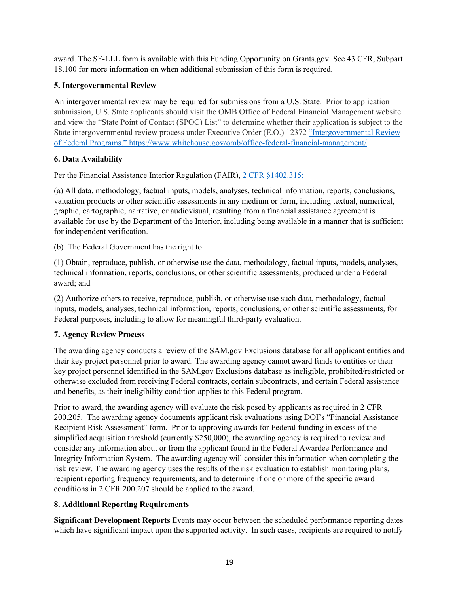award. The SF-LLL form is available with this Funding Opportunity on Grants.gov. See 43 CFR, Subpart 18.100 for more information on when additional submission of this form is required.

#### **5. Intergovernmental Review**

An intergovernmental review may be required for submissions from a U.S. State. Prior to application submission, U.S. State applicants should visit the OMB Office of Federal Financial Management website and view the "State Point of Contact (SPOC) List" to determine whether their application is subject to the State intergovernmental review process under Executive Order (E.O.) 12372 ["Intergovernmental Review](https://www.whitehouse.gov/omb/office-federal-financial-management)  [of Federal Programs."](https://www.whitehouse.gov/omb/office-federal-financial-management) <https://www.whitehouse.gov/omb/office-federal-financial-management/>

#### **6. Data Availability**

Per the Financial Assistance Interior Regulation (FAIR), [2 CFR §1402.315:](https://www.ecfr.gov/current/title-2/subtitle-B/chapter-XIV/part-1402/subpart-D/section-1402.315)

(a) All data, methodology, factual inputs, models, analyses, technical information, reports, conclusions, valuation products or other scientific assessments in any medium or form, including textual, numerical, graphic, cartographic, narrative, or audiovisual, resulting from a financial assistance agreement is available for use by the Department of the Interior, including being available in a manner that is sufficient for independent verification.

(b) The Federal Government has the right to:

(1) Obtain, reproduce, publish, or otherwise use the data, methodology, factual inputs, models, analyses, technical information, reports, conclusions, or other scientific assessments, produced under a Federal award; and

(2) Authorize others to receive, reproduce, publish, or otherwise use such data, methodology, factual inputs, models, analyses, technical information, reports, conclusions, or other scientific assessments, for Federal purposes, including to allow for meaningful third-party evaluation.

## **7. Agency Review Process**

The awarding agency conducts a review of the SAM.gov Exclusions database for all applicant entities and their key project personnel prior to award. The awarding agency cannot award funds to entities or their key project personnel identified in the SAM.gov Exclusions database as ineligible, prohibited/restricted or otherwise excluded from receiving Federal contracts, certain subcontracts, and certain Federal assistance and benefits, as their ineligibility condition applies to this Federal program.

Prior to award, the awarding agency will evaluate the risk posed by applicants as required in 2 CFR 200.205. The awarding agency documents applicant risk evaluations using DOI's "Financial Assistance Recipient Risk Assessment" form. Prior to approving awards for Federal funding in excess of the simplified acquisition threshold (currently \$250,000), the awarding agency is required to review and consider any information about or from the applicant found in the Federal Awardee Performance and Integrity Information System. The awarding agency will consider this information when completing the risk review. The awarding agency uses the results of the risk evaluation to establish monitoring plans, recipient reporting frequency requirements, and to determine if one or more of the specific award conditions in 2 CFR 200.207 should be applied to the award.

## **8. Additional Reporting Requirements**

**Significant Development Reports** Events may occur between the scheduled performance reporting dates which have significant impact upon the supported activity. In such cases, recipients are required to notify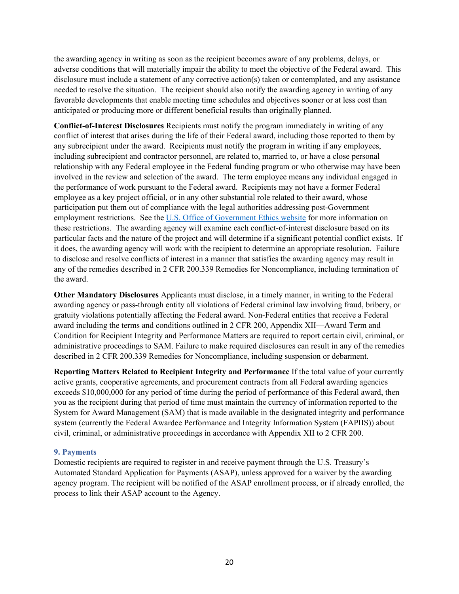the awarding agency in writing as soon as the recipient becomes aware of any problems, delays, or adverse conditions that will materially impair the ability to meet the objective of the Federal award. This disclosure must include a statement of any corrective action(s) taken or contemplated, and any assistance needed to resolve the situation. The recipient should also notify the awarding agency in writing of any favorable developments that enable meeting time schedules and objectives sooner or at less cost than anticipated or producing more or different beneficial results than originally planned.

**Conflict-of-Interest Disclosures** Recipients must notify the program immediately in writing of any conflict of interest that arises during the life of their Federal award, including those reported to them by any subrecipient under the award. Recipients must notify the program in writing if any employees, including subrecipient and contractor personnel, are related to, married to, or have a close personal relationship with any Federal employee in the Federal funding program or who otherwise may have been involved in the review and selection of the award. The term employee means any individual engaged in the performance of work pursuant to the Federal award. Recipients may not have a former Federal employee as a key project official, or in any other substantial role related to their award, whose participation put them out of compliance with the legal authorities addressing post-Government employment restrictions. See the [U.S. Office of Government Ethics website](https://oge.gov/) for more information on these restrictions. The awarding agency will examine each conflict-of-interest disclosure based on its particular facts and the nature of the project and will determine if a significant potential conflict exists. If it does, the awarding agency will work with the recipient to determine an appropriate resolution. Failure to disclose and resolve conflicts of interest in a manner that satisfies the awarding agency may result in any of the remedies described in 2 CFR 200.339 Remedies for Noncompliance, including termination of the award.

**Other Mandatory Disclosures** Applicants must disclose, in a timely manner, in writing to the Federal awarding agency or pass-through entity all violations of Federal criminal law involving fraud, bribery, or gratuity violations potentially affecting the Federal award. Non-Federal entities that receive a Federal award including the terms and conditions outlined in 2 CFR 200, Appendix XII—Award Term and Condition for Recipient Integrity and Performance Matters are required to report certain civil, criminal, or administrative proceedings to SAM. Failure to make required disclosures can result in any of the remedies described in 2 CFR 200.339 Remedies for Noncompliance, including suspension or debarment.

**Reporting Matters Related to Recipient Integrity and Performance** If the total value of your currently active grants, cooperative agreements, and procurement contracts from all Federal awarding agencies exceeds \$10,000,000 for any period of time during the period of performance of this Federal award, then you as the recipient during that period of time must maintain the currency of information reported to the System for Award Management (SAM) that is made available in the designated integrity and performance system (currently the Federal Awardee Performance and Integrity Information System (FAPIIS)) about civil, criminal, or administrative proceedings in accordance with Appendix XII to 2 CFR 200.

#### **9. Payments**

Domestic recipients are required to register in and receive payment through the U.S. Treasury's Automated Standard Application for Payments (ASAP), unless approved for a waiver by the awarding agency program. The recipient will be notified of the ASAP enrollment process, or if already enrolled, the process to link their ASAP account to the Agency.